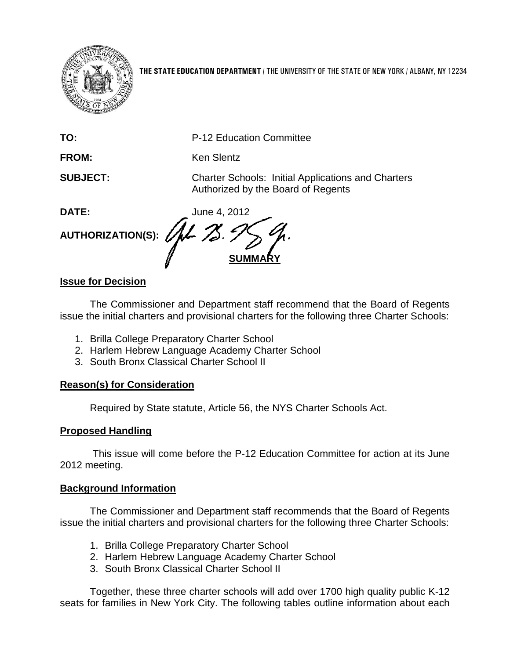

**THE STATE EDUCATION DEPARTMENT** / THE UNIVERSITY OF THE STATE OF NEW YORK / ALBANY, NY 12234

**TO:** P-12 Education Committee

FROM: Ken Slentz

**SUBJECT:** Charter Schools: Initial Applications and Charters Authorized by the Board of Regents

**DATE:** June 4, 2012 **AUTHORIZATION(S): SUMMARY**

# **Issue for Decision**

The Commissioner and Department staff recommend that the Board of Regents issue the initial charters and provisional charters for the following three Charter Schools:

- 1. Brilla College Preparatory Charter School
- 2. Harlem Hebrew Language Academy Charter School
- 3. South Bronx Classical Charter School II

# **Reason(s) for Consideration**

Required by State statute, Article 56, the NYS Charter Schools Act.

# **Proposed Handling**

This issue will come before the P-12 Education Committee for action at its June 2012 meeting.

# **Background Information**

The Commissioner and Department staff recommends that the Board of Regents issue the initial charters and provisional charters for the following three Charter Schools:

- 1. Brilla College Preparatory Charter School
- 2. Harlem Hebrew Language Academy Charter School
- 3. South Bronx Classical Charter School II

Together, these three charter schools will add over 1700 high quality public K-12 seats for families in New York City. The following tables outline information about each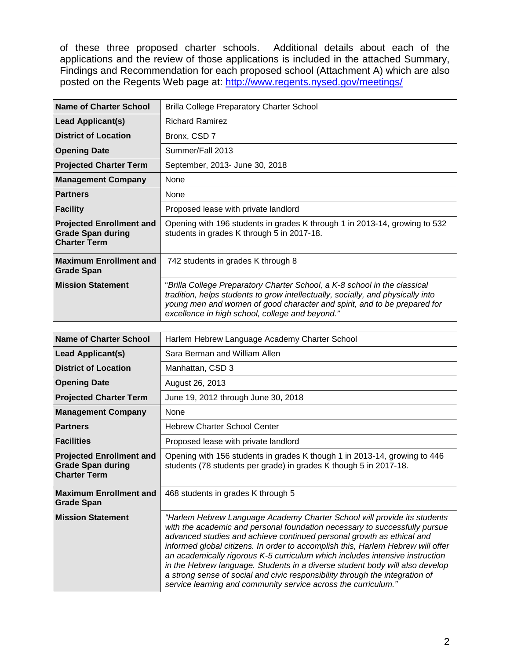of these three proposed charter schools. Additional details about each of the applications and the review of those applications is included in the attached Summary, Findings and Recommendation for each proposed school (Attachment A) which are also posted on the Regents Web page at:<http://www.regents.nysed.gov/meetings/>

| Name of Charter School                                                             | <b>Brilla College Preparatory Charter School</b>                                                                                                                                                                                                                                            |
|------------------------------------------------------------------------------------|---------------------------------------------------------------------------------------------------------------------------------------------------------------------------------------------------------------------------------------------------------------------------------------------|
| <b>Lead Applicant(s)</b>                                                           | <b>Richard Ramirez</b>                                                                                                                                                                                                                                                                      |
| <b>District of Location</b>                                                        | Bronx, CSD 7                                                                                                                                                                                                                                                                                |
| <b>Opening Date</b>                                                                | Summer/Fall 2013                                                                                                                                                                                                                                                                            |
| <b>Projected Charter Term</b>                                                      | September, 2013- June 30, 2018                                                                                                                                                                                                                                                              |
| <b>Management Company</b>                                                          | None                                                                                                                                                                                                                                                                                        |
| <b>Partners</b>                                                                    | None                                                                                                                                                                                                                                                                                        |
| <b>Facility</b>                                                                    | Proposed lease with private landlord                                                                                                                                                                                                                                                        |
| <b>Projected Enrollment and</b><br><b>Grade Span during</b><br><b>Charter Term</b> | Opening with 196 students in grades K through 1 in 2013-14, growing to 532<br>students in grades K through 5 in 2017-18.                                                                                                                                                                    |
| <b>Maximum Enrollment and</b><br><b>Grade Span</b>                                 | 742 students in grades K through 8                                                                                                                                                                                                                                                          |
| <b>Mission Statement</b>                                                           | "Brilla College Preparatory Charter School, a K-8 school in the classical<br>tradition, helps students to grow intellectually, socially, and physically into<br>young men and women of good character and spirit, and to be prepared for<br>excellence in high school, college and beyond." |

| Name of Charter School                                                             | Harlem Hebrew Language Academy Charter School                                                                                                                                                                                                                                                                                                                                                                                                                                                                                                                                                                                        |
|------------------------------------------------------------------------------------|--------------------------------------------------------------------------------------------------------------------------------------------------------------------------------------------------------------------------------------------------------------------------------------------------------------------------------------------------------------------------------------------------------------------------------------------------------------------------------------------------------------------------------------------------------------------------------------------------------------------------------------|
| Lead Applicant(s)                                                                  | Sara Berman and William Allen                                                                                                                                                                                                                                                                                                                                                                                                                                                                                                                                                                                                        |
| <b>District of Location</b>                                                        | Manhattan, CSD 3                                                                                                                                                                                                                                                                                                                                                                                                                                                                                                                                                                                                                     |
| <b>Opening Date</b>                                                                | August 26, 2013                                                                                                                                                                                                                                                                                                                                                                                                                                                                                                                                                                                                                      |
| <b>Projected Charter Term</b>                                                      | June 19, 2012 through June 30, 2018                                                                                                                                                                                                                                                                                                                                                                                                                                                                                                                                                                                                  |
| <b>Management Company</b>                                                          | None                                                                                                                                                                                                                                                                                                                                                                                                                                                                                                                                                                                                                                 |
| <b>Partners</b>                                                                    | <b>Hebrew Charter School Center</b>                                                                                                                                                                                                                                                                                                                                                                                                                                                                                                                                                                                                  |
| <b>Facilities</b>                                                                  | Proposed lease with private landlord                                                                                                                                                                                                                                                                                                                                                                                                                                                                                                                                                                                                 |
| <b>Projected Enrollment and</b><br><b>Grade Span during</b><br><b>Charter Term</b> | Opening with 156 students in grades K though 1 in 2013-14, growing to 446<br>students (78 students per grade) in grades K though 5 in 2017-18.                                                                                                                                                                                                                                                                                                                                                                                                                                                                                       |
| <b>Maximum Enrollment and</b><br><b>Grade Span</b>                                 | 468 students in grades K through 5                                                                                                                                                                                                                                                                                                                                                                                                                                                                                                                                                                                                   |
| <b>Mission Statement</b>                                                           | "Harlem Hebrew Language Academy Charter School will provide its students<br>with the academic and personal foundation necessary to successfully pursue<br>advanced studies and achieve continued personal growth as ethical and<br>informed global citizens. In order to accomplish this, Harlem Hebrew will offer<br>an academically rigorous K-5 curriculum which includes intensive instruction<br>in the Hebrew language. Students in a diverse student body will also develop<br>a strong sense of social and civic responsibility through the integration of<br>service learning and community service across the curriculum." |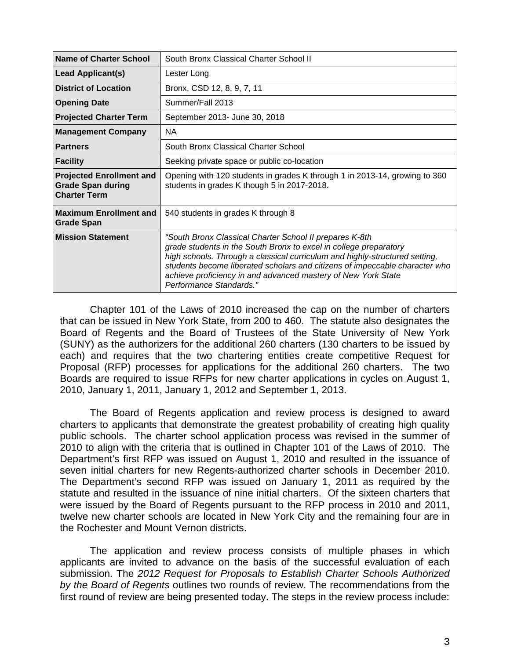| Name of Charter School                                                             | South Bronx Classical Charter School II                                                                                                                                                                                                                                                                                                                                                |
|------------------------------------------------------------------------------------|----------------------------------------------------------------------------------------------------------------------------------------------------------------------------------------------------------------------------------------------------------------------------------------------------------------------------------------------------------------------------------------|
| <b>Lead Applicant(s)</b>                                                           | Lester Long                                                                                                                                                                                                                                                                                                                                                                            |
| <b>District of Location</b>                                                        | Bronx, CSD 12, 8, 9, 7, 11                                                                                                                                                                                                                                                                                                                                                             |
| <b>Opening Date</b>                                                                | Summer/Fall 2013                                                                                                                                                                                                                                                                                                                                                                       |
| <b>Projected Charter Term</b>                                                      | September 2013- June 30, 2018                                                                                                                                                                                                                                                                                                                                                          |
| <b>Management Company</b>                                                          | <b>NA</b>                                                                                                                                                                                                                                                                                                                                                                              |
| <b>Partners</b>                                                                    | South Bronx Classical Charter School                                                                                                                                                                                                                                                                                                                                                   |
| <b>Facility</b>                                                                    | Seeking private space or public co-location                                                                                                                                                                                                                                                                                                                                            |
| <b>Projected Enrollment and</b><br><b>Grade Span during</b><br><b>Charter Term</b> | Opening with 120 students in grades K through 1 in 2013-14, growing to 360<br>students in grades K though 5 in 2017-2018.                                                                                                                                                                                                                                                              |
| <b>Maximum Enrollment and</b><br><b>Grade Span</b>                                 | 540 students in grades K through 8                                                                                                                                                                                                                                                                                                                                                     |
| <b>Mission Statement</b>                                                           | "South Bronx Classical Charter School II prepares K-8th<br>grade students in the South Bronx to excel in college preparatory<br>high schools. Through a classical curriculum and highly-structured setting,<br>students become liberated scholars and citizens of impeccable character who<br>achieve proficiency in and advanced mastery of New York State<br>Performance Standards." |

Chapter 101 of the Laws of 2010 increased the cap on the number of charters that can be issued in New York State, from 200 to 460. The statute also designates the Board of Regents and the Board of Trustees of the State University of New York (SUNY) as the authorizers for the additional 260 charters (130 charters to be issued by each) and requires that the two chartering entities create competitive Request for Proposal (RFP) processes for applications for the additional 260 charters. The two Boards are required to issue RFPs for new charter applications in cycles on August 1, 2010, January 1, 2011, January 1, 2012 and September 1, 2013.

The Board of Regents application and review process is designed to award charters to applicants that demonstrate the greatest probability of creating high quality public schools. The charter school application process was revised in the summer of 2010 to align with the criteria that is outlined in Chapter 101 of the Laws of 2010. The Department's first RFP was issued on August 1, 2010 and resulted in the issuance of seven initial charters for new Regents-authorized charter schools in December 2010. The Department's second RFP was issued on January 1, 2011 as required by the statute and resulted in the issuance of nine initial charters. Of the sixteen charters that were issued by the Board of Regents pursuant to the RFP process in 2010 and 2011, twelve new charter schools are located in New York City and the remaining four are in the Rochester and Mount Vernon districts.

The application and review process consists of multiple phases in which applicants are invited to advance on the basis of the successful evaluation of each submission. The *2012 Request for Proposals to Establish Charter Schools Authorized by the Board of Regents* outlines two rounds of review. The recommendations from the first round of review are being presented today. The steps in the review process include: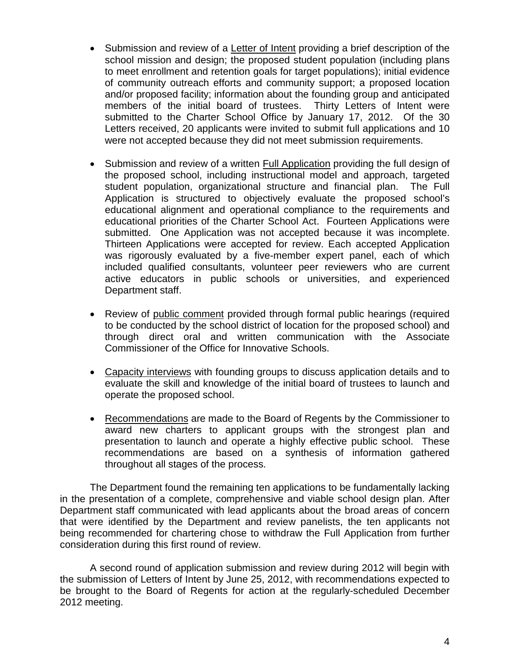- Submission and review of a Letter of Intent providing a brief description of the school mission and design; the proposed student population (including plans to meet enrollment and retention goals for target populations); initial evidence of community outreach efforts and community support; a proposed location and/or proposed facility; information about the founding group and anticipated members of the initial board of trustees. Thirty Letters of Intent were submitted to the Charter School Office by January 17, 2012. Of the 30 Letters received, 20 applicants were invited to submit full applications and 10 were not accepted because they did not meet submission requirements.
- Submission and review of a written Full Application providing the full design of the proposed school, including instructional model and approach, targeted student population, organizational structure and financial plan. The Full Application is structured to objectively evaluate the proposed school's educational alignment and operational compliance to the requirements and educational priorities of the Charter School Act. Fourteen Applications were submitted. One Application was not accepted because it was incomplete. Thirteen Applications were accepted for review. Each accepted Application was rigorously evaluated by a five-member expert panel, each of which included qualified consultants, volunteer peer reviewers who are current active educators in public schools or universities, and experienced Department staff.
- Review of public comment provided through formal public hearings (required to be conducted by the school district of location for the proposed school) and through direct oral and written communication with the Associate Commissioner of the Office for Innovative Schools.
- Capacity interviews with founding groups to discuss application details and to evaluate the skill and knowledge of the initial board of trustees to launch and operate the proposed school.
- Recommendations are made to the Board of Regents by the Commissioner to award new charters to applicant groups with the strongest plan and presentation to launch and operate a highly effective public school. These recommendations are based on a synthesis of information gathered throughout all stages of the process.

The Department found the remaining ten applications to be fundamentally lacking in the presentation of a complete, comprehensive and viable school design plan. After Department staff communicated with lead applicants about the broad areas of concern that were identified by the Department and review panelists, the ten applicants not being recommended for chartering chose to withdraw the Full Application from further consideration during this first round of review.

A second round of application submission and review during 2012 will begin with the submission of Letters of Intent by June 25, 2012, with recommendations expected to be brought to the Board of Regents for action at the regularly-scheduled December 2012 meeting.